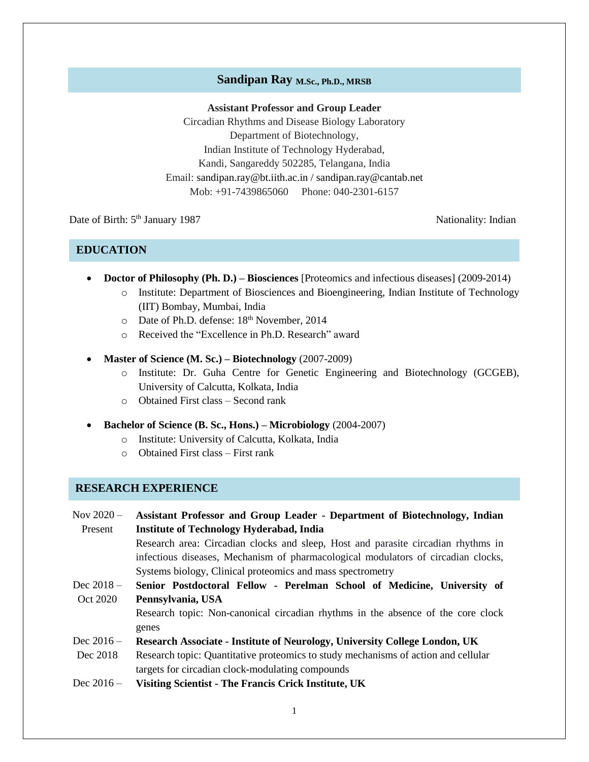### **Sandipan Ray M.Sc., Ph.D., MRSB**

**Assistant Professor and Group Leader** Circadian Rhythms and Disease Biology Laboratory Department of Biotechnology, Indian Institute of Technology Hyderabad, Kandi, Sangareddy 502285, Telangana, India Email: sandipan.ray@bt.iith.ac.in / sandipan.ray@cantab.net Mob: +91-7439865060 Phone: 040-2301-6157

Date of Birth: 5<sup>th</sup> January 1987

Nationality: Indian

#### **EDUCATION**

- **Doctor of Philosophy (Ph. D.) Biosciences** [Proteomics and infectious diseases] (2009-2014)
	- o Institute: Department of Biosciences and Bioengineering, Indian Institute of Technology (IIT) Bombay, Mumbai, India
	- o Date of Ph.D. defense:  $18<sup>th</sup>$  November, 2014
	- o Received the "Excellence in Ph.D. Research" award
- **Master of Science (M. Sc.) – Biotechnology** (2007-2009)
	- o Institute: Dr. Guha Centre for Genetic Engineering and Biotechnology (GCGEB), University of Calcutta, Kolkata, India
	- o Obtained First class Second rank
- **Bachelor of Science (B. Sc., Hons.) – Microbiology** (2004-2007)
	- o Institute: University of Calcutta, Kolkata, India
	- o Obtained First class First rank

### **RESEARCH EXPERIENCE**

Nov  $2020 -$ Present Dec 2018 – Oct 2020 **Assistant Professor and Group Leader - Department of Biotechnology, Indian Institute of Technology Hyderabad, India** Research area: Circadian clocks and sleep, Host and parasite circadian rhythms in infectious diseases, Mechanism of pharmacological modulators of circadian clocks, Systems biology, Clinical proteomics and mass spectrometry **Senior Postdoctoral Fellow - Perelman School of Medicine, University of Pennsylvania, USA**

Research topic: Non-canonical circadian rhythms in the absence of the core clock genes

- Dec  $2016 -$ **Research Associate - Institute of Neurology, University College London, UK**
- Dec 2018 Research topic: Quantitative proteomics to study mechanisms of action and cellular targets for circadian clock-modulating compounds
- Dec 2016 **Visiting Scientist - The Francis Crick Institute, UK**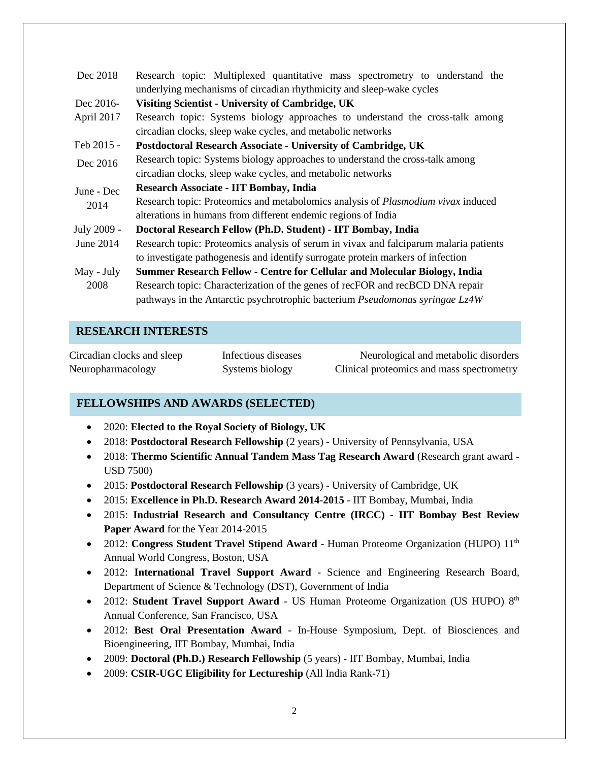| Dec 2018    | Research topic: Multiplexed quantitative mass spectrometry to understand the<br>underlying mechanisms of circadian rhythmicity and sleep-wake cycles |
|-------------|------------------------------------------------------------------------------------------------------------------------------------------------------|
| Dec 2016-   | Visiting Scientist - University of Cambridge, UK                                                                                                     |
| April 2017  | Research topic: Systems biology approaches to understand the cross-talk among                                                                        |
|             | circadian clocks, sleep wake cycles, and metabolic networks                                                                                          |
| Feb 2015 -  | Postdoctoral Research Associate - University of Cambridge, UK                                                                                        |
| Dec 2016    | Research topic: Systems biology approaches to understand the cross-talk among                                                                        |
|             | circadian clocks, sleep wake cycles, and metabolic networks                                                                                          |
| June - Dec  | Research Associate - IIT Bombay, India                                                                                                               |
| 2014        | Research topic: Proteomics and metabolomics analysis of <i>Plasmodium vivax</i> induced                                                              |
|             | alterations in humans from different endemic regions of India                                                                                        |
| July 2009 - | Doctoral Research Fellow (Ph.D. Student) - IIT Bombay, India                                                                                         |
| June $2014$ | Research topic: Proteomics analysis of serum in vivax and falciparum malaria patients                                                                |
|             | to investigate pathogenesis and identify surrogate protein markers of infection                                                                      |
| May - July  | Summer Research Fellow - Centre for Cellular and Molecular Biology, India                                                                            |
| 2008        | Research topic: Characterization of the genes of recFOR and recBCD DNA repair                                                                        |
|             | pathways in the Antarctic psychrotrophic bacterium <i>Pseudomonas syringae Lz4W</i>                                                                  |

### **RESEARCH INTERESTS**

Circadian clocks and sleep Infectious diseases Neurological and metabolic disorders Neuropharmacology Systems biology Clinical proteomics and mass spectrometry

### **FELLOWSHIPS AND AWARDS (SELECTED)**

- 2020: **Elected to the Royal Society of Biology, UK**
- 2018: **Postdoctoral Research Fellowship** (2 years) University of Pennsylvania, USA
- 2018: **Thermo Scientific Annual Tandem Mass Tag Research Award** (Research grant award USD 7500)
- 2015: **Postdoctoral Research Fellowship** (3 years) University of Cambridge, UK
- 2015: **Excellence in Ph.D. Research Award 2014-2015** IIT Bombay, Mumbai, India
- 2015: **Industrial Research and Consultancy Centre (IRCC) - IIT Bombay Best Review Paper Award** for the Year 2014-2015
- 2012: **Congress Student Travel Stipend Award** Human Proteome Organization (HUPO) 11<sup>th</sup> Annual World Congress, Boston, USA
- 2012: **International Travel Support Award** Science and Engineering Research Board, Department of Science & Technology (DST), Government of India
- 2012: Student Travel Support Award US Human Proteome Organization (US HUPO) 8<sup>th</sup> Annual Conference, San Francisco, USA
- 2012: **Best Oral Presentation Award** In-House Symposium, Dept. of Biosciences and Bioengineering, IIT Bombay, Mumbai, India
- 2009: **Doctoral (Ph.D.) Research Fellowship** (5 years) IIT Bombay, Mumbai, India
- 2009: **CSIR-UGC Eligibility for Lectureship** (All India Rank-71)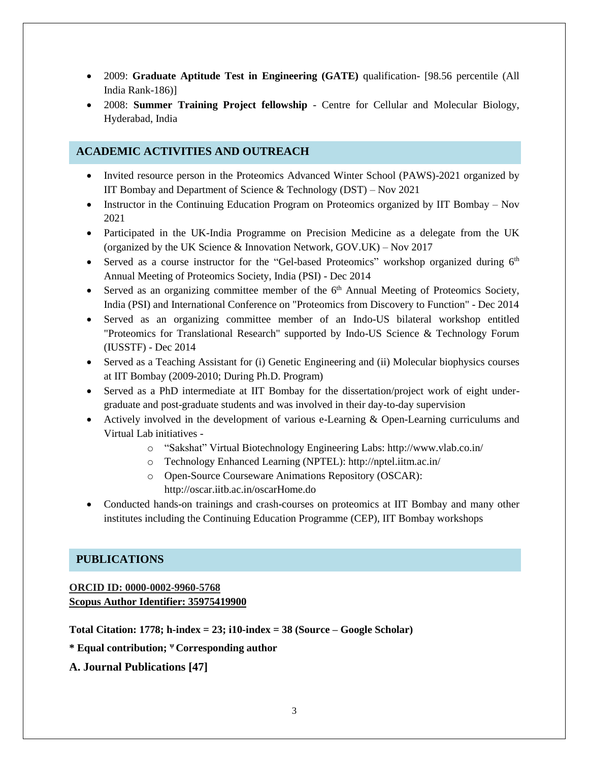- 2009: **Graduate Aptitude Test in Engineering (GATE)** qualification- [98.56 percentile (All India Rank-186)]
- 2008: **Summer Training Project fellowship** Centre for Cellular and Molecular Biology, Hyderabad, India

## **ACADEMIC ACTIVITIES AND OUTREACH**

- Invited resource person in the Proteomics Advanced Winter School (PAWS)-2021 organized by IIT Bombay and Department of Science & Technology (DST) – Nov 2021
- Instructor in the Continuing Education Program on Proteomics organized by IIT Bombay Nov 2021
- Participated in the UK-India Programme on Precision Medicine as a delegate from the UK (organized by the UK Science & Innovation Network, GOV.UK) – Nov 2017
- $\bullet$  Served as a course instructor for the "Gel-based Proteomics" workshop organized during  $6<sup>th</sup>$ Annual Meeting of Proteomics Society, India (PSI) - Dec 2014
- Served as an organizing committee member of the 6<sup>th</sup> Annual Meeting of Proteomics Society, India (PSI) and International Conference on "Proteomics from Discovery to Function" - Dec 2014
- Served as an organizing committee member of an Indo-US bilateral workshop entitled "Proteomics for Translational Research" supported by Indo-US Science & Technology Forum (IUSSTF) - Dec 2014
- Served as a Teaching Assistant for (i) Genetic Engineering and (ii) Molecular biophysics courses at IIT Bombay (2009-2010; During Ph.D. Program)
- Served as a PhD intermediate at IIT Bombay for the dissertation/project work of eight undergraduate and post-graduate students and was involved in their day-to-day supervision
- Actively involved in the development of various e-Learning & Open-Learning curriculums and Virtual Lab initiatives
	- o "Sakshat" Virtual Biotechnology Engineering Labs: http://www.vlab.co.in/
	- o Technology Enhanced Learning (NPTEL): http://nptel.iitm.ac.in/
	- o Open-Source Courseware Animations Repository (OSCAR): http://oscar.iitb.ac.in/oscarHome.do
- Conducted hands-on trainings and crash-courses on proteomics at IIT Bombay and many other institutes including the Continuing Education Programme (CEP), IIT Bombay workshops

### **PUBLICATIONS**

**ORCID ID: 0000-0002-9960-5768 Scopus Author Identifier: 35975419900**

**Total Citation: 1778; h-index = 23; i10-index = 38 (Source – Google Scholar)**

**\* Equal contribution; <sup>ψ</sup> Corresponding author**

**A. Journal Publications [47]**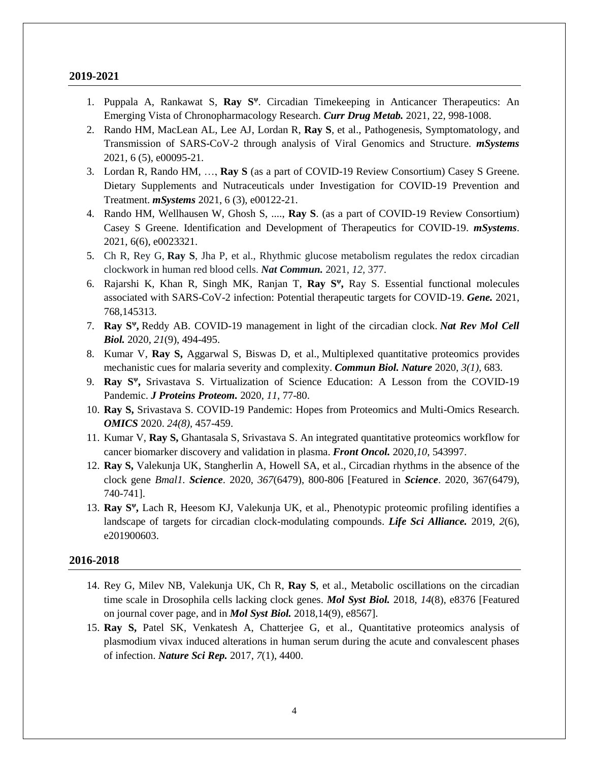#### **2019-2021**

- 1. Puppala A, Rankawat S, **Ray S<sup>ψ</sup>** . Circadian Timekeeping in Anticancer Therapeutics: An Emerging Vista of Chronopharmacology Research. *Curr Drug Metab.* 2021, 22, 998-1008.
- 2. Rando HM, MacLean AL, Lee AJ, Lordan R, **Ray S**, et al., Pathogenesis, Symptomatology, and Transmission of SARS-CoV-2 through analysis of Viral Genomics and Structure. *mSystems* 2021, 6 (5), e00095-21.
- 3. Lordan R, Rando HM, …, **Ray S** (as a part of COVID-19 Review Consortium) Casey S Greene. Dietary Supplements and Nutraceuticals under Investigation for COVID-19 Prevention and Treatment. *mSystems* 2021, 6 (3), e00122-21.
- 4. Rando HM, Wellhausen W, Ghosh S, ...., **Ray S**. (as a part of COVID-19 Review Consortium) Casey S Greene. Identification and Development of Therapeutics for COVID-19. *mSystems*. 2021, 6(6), e0023321.
- 5. Ch R, Rey G, **Ray S**, Jha P, et al., Rhythmic glucose metabolism regulates the redox circadian clockwork in human red blood cells. *Nat Commun.* 2021, *12,* 377.
- 6. Rajarshi K, Khan R, Singh MK, Ranjan T, **Ray S ψ ,** Ray S. Essential functional molecules associated with SARS-CoV-2 infection: Potential therapeutic targets for COVID-19. *Gene.* 2021, 768,145313.
- 7. Ray S<sup>w</sup>, Reddy AB. COVID-19 management in light of the circadian clock. *Nat Rev Mol Cell Biol.* 2020, *21*(9), 494-495.
- 8. Kumar V, **Ray S,** Aggarwal S, Biswas D, et al., Multiplexed quantitative proteomics provides mechanistic cues for malaria severity and complexity. *Commun Biol. Nature* 2020, *3(1),* 683.
- 9. **Ray S<sup>ψ</sup> ,** Srivastava S. Virtualization of Science Education: A Lesson from the COVID-19 Pandemic. *J Proteins Proteom.* 2020, *11*, 77-80.
- 10. **Ray S,** Srivastava S. COVID-19 Pandemic: Hopes from Proteomics and Multi-Omics Research. *OMICS* 2020. *24(8)*, 457-459.
- 11. Kumar V, **Ray S,** Ghantasala S, Srivastava S. An integrated quantitative proteomics workflow for cancer biomarker discovery and validation in plasma. *Front Oncol.* 2020,*10*, 543997.
- 12. **Ray S,** Valekunja UK, Stangherlin A, Howell SA, et al., Circadian rhythms in the absence of the clock gene *Bmal1. Science*. 2020, *367*(6479), 800-806 [Featured in *Science*. 2020, 367(6479), 740-741].
- 13. Ray S<sup>w</sup>, Lach R, Heesom KJ, Valekunja UK, et al., Phenotypic proteomic profiling identifies a landscape of targets for circadian clock-modulating compounds. *Life Sci Alliance.* 2019, *2*(6), e201900603.

#### **2016-2018**

- 14. Rey G, Milev NB, Valekunja UK, Ch R, **Ray S**, et al., Metabolic oscillations on the circadian time scale in Drosophila cells lacking clock genes. *Mol Syst Biol.* 2018, *14*(8), e8376 [Featured on journal cover page, and in *Mol Syst Biol.* 2018,14(9), e8567].
- 15. **Ray S,** Patel SK, Venkatesh A, Chatterjee G, et al., Quantitative proteomics analysis of plasmodium vivax induced alterations in human serum during the acute and convalescent phases of infection. *Nature Sci Rep.* 2017, *7*(1), 4400.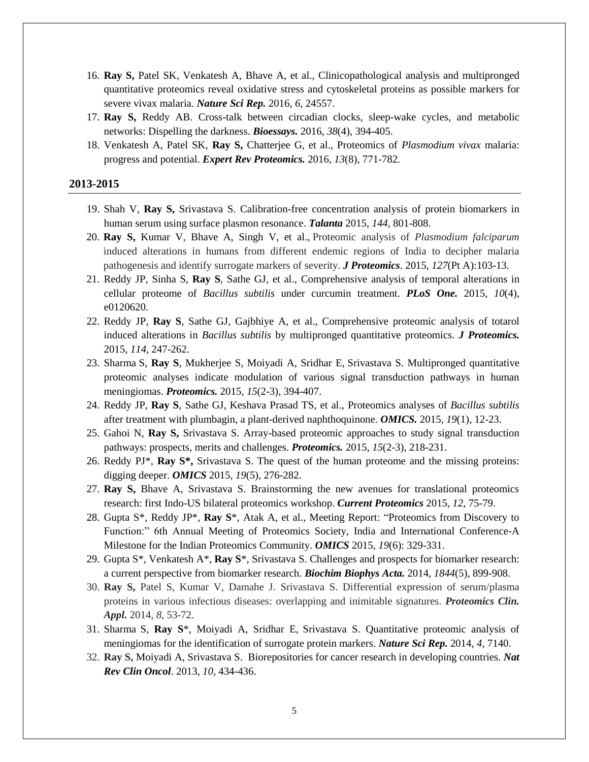- 16. **Ray S,** Patel SK, Venkatesh A, Bhave A, et al., Clinicopathological analysis and multipronged quantitative proteomics reveal oxidative stress and cytoskeletal proteins as possible markers for severe vivax malaria. *Nature Sci Rep.* 2016, *6*, 24557.
- 17. **Ray S,** Reddy AB. Cross-talk between circadian clocks, sleep-wake cycles, and metabolic networks: Dispelling the darkness. *Bioessays.* 2016, *38*(4), 394-405.
- 18. Venkatesh A, Patel SK, **Ray S,** Chatterjee G, et al., Proteomics of *Plasmodium vivax* malaria: progress and potential. *Expert Rev Proteomics.* 2016, *13*(8), 771-782*.*

#### **2013-2015**

- 19. Shah V, **Ray S,** Srivastava S. Calibration-free concentration analysis of protein biomarkers in human serum using surface plasmon resonance. *Talanta* 2015, *144*, 801-808.
- 20. **Ray S,** Kumar V, Bhave A, Singh V, et al., Proteomic analysis of *Plasmodium falciparum* induced alterations in humans from different endemic regions of India to decipher malaria pathogenesis and identify surrogate markers of severity. *J Proteomics*. 2015, *127*(Pt A):103-13.
- 21. Reddy JP, Sinha S, **Ray S**, Sathe GJ, et al., Comprehensive analysis of temporal alterations in cellular proteome of *Bacillus subtilis* under curcumin treatment. *PLoS One.* 2015, *10*(4), e0120620.
- 22. Reddy JP, **Ray S**, Sathe GJ, Gajbhiye A, et al., Comprehensive proteomic analysis of totarol induced alterations in *Bacillus subtilis* by multipronged quantitative proteomics. *J Proteomics.*  2015, *114*, 247-262.
- 23. Sharma S, **Ray S**, Mukherjee S, Moiyadi A, Sridhar E, Srivastava S. Multipronged quantitative proteomic analyses indicate modulation of various signal transduction pathways in human meningiomas. *Proteomics.* 2015, *15*(2-3), 394-407.
- 24. Reddy JP, **Ray S**, Sathe GJ, Keshava Prasad TS, et al., Proteomics analyses of *Bacillus subtilis* after treatment with plumbagin, a plant-derived naphthoquinone. *OMICS.* 2015, *19*(1), 12-23.
- 25. Gahoi N, **Ray S,** Srivastava S. Array-based proteomic approaches to study signal transduction pathways: prospects, merits and challenges. *Proteomics.* 2015, *15*(2-3), 218-231.
- 26. Reddy PJ\*, **Ray S\*,** Srivastava S. The quest of the human proteome and the missing proteins: digging deeper. *OMICS* 2015, *19*(5), 276-282.
- 27. **Ray S,** Bhave A, Srivastava S. Brainstorming the new avenues for translational proteomics research: first Indo-US bilateral proteomics workshop. *Current Proteomics* 2015, *12*, 75-79.
- 28. Gupta S\*, Reddy JP\*, **Ray S**\*, Atak A, et al., Meeting Report: "Proteomics from Discovery to Function:" 6th Annual Meeting of Proteomics Society, India and International Conference-A Milestone for the Indian Proteomics Community. *OMICS* 2015, *19*(6): 329-331.
- 29. Gupta S\*, Venkatesh A\*, **Ray S**\*, Srivastava S. Challenges and prospects for biomarker research: a current perspective from biomarker research. *Biochim Biophys Acta.* 2014, *1844*(5), 899-908.
- 30. **Ray S,** Patel S, Kumar V, Damahe J. Srivastava S. Differential expression of serum/plasma proteins in various infectious diseases: overlapping and inimitable signatures. *Proteomics Clin. Appl.* 2014, *8*, 53-72.
- 31. Sharma S, **Ray S**\*, Moiyadi A, Sridhar E, Srivastava S. Quantitative proteomic analysis of meningiomas for the identification of surrogate protein markers. *Nature Sci Rep.* 2014, *4*, 7140.
- 32. **Ray S,** Moiyadi A, Srivastava S. Biorepositories for cancer research in developing countries. *Nat Rev Clin Oncol*. 2013, *10*, 434-436.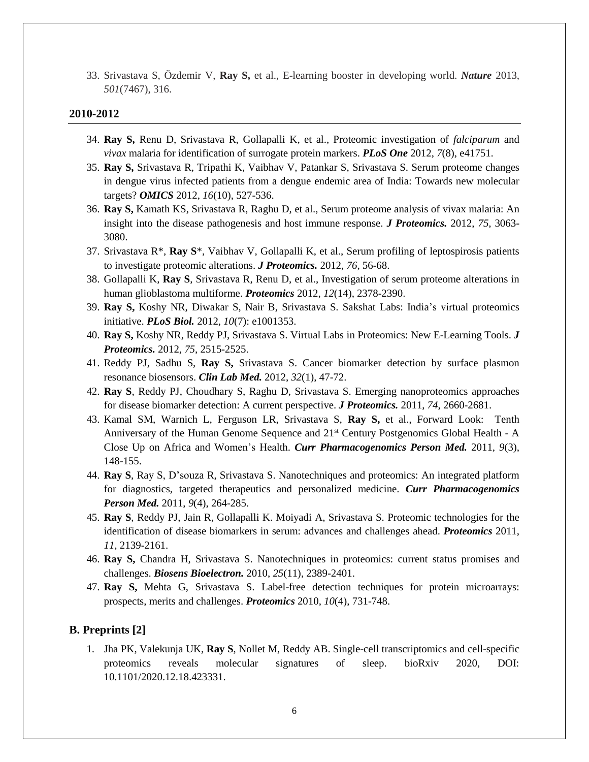33. Srivastava S, Özdemir V, **Ray S,** et al., E-learning booster in developing world. *Nature* 2013, *501*(7467), 316.

### **2010-2012**

- 34. **Ray S,** Renu D, Srivastava R, Gollapalli K, et al., Proteomic investigation of *falciparum* and *vivax* malaria for identification of surrogate protein markers. *PLoS One* 2012, *7*(8), e41751.
- 35. **Ray S,** Srivastava R, Tripathi K, Vaibhav V, Patankar S, Srivastava S. Serum proteome changes in dengue virus infected patients from a dengue endemic area of India: Towards new molecular targets? *OMICS* 2012, *16*(10), 527-536.
- 36. **Ray S,** Kamath KS, Srivastava R, Raghu D, et al., Serum proteome analysis of vivax malaria: An insight into the disease pathogenesis and host immune response. *J Proteomics.* 2012, *75*, 3063- 3080.
- 37. Srivastava R\*, **Ray S**\*, Vaibhav V, Gollapalli K, et al., Serum profiling of leptospirosis patients to investigate proteomic alterations. *J Proteomics.* 2012, *76*, 56-68.
- 38. Gollapalli K, **Ray S**, Srivastava R, Renu D, et al., Investigation of serum proteome alterations in human glioblastoma multiforme. *Proteomics* 2012, *12*(14), 2378-2390.
- 39. **Ray S,** Koshy NR, Diwakar S, Nair B, Srivastava S. Sakshat Labs: India's virtual proteomics initiative. *PLoS Biol.* 2012, *10*(7): e1001353.
- 40. **Ray S,** Koshy NR, Reddy PJ, Srivastava S. Virtual Labs in Proteomics: New E-Learning Tools. *J Proteomics.* 2012, *75*, 2515-2525.
- 41. Reddy PJ, Sadhu S, **Ray S,** Srivastava S. Cancer biomarker detection by surface plasmon resonance biosensors. *Clin Lab Med.* 2012, *32*(1), 47-72.
- 42. **Ray S**, Reddy PJ, Choudhary S, Raghu D, Srivastava S. Emerging nanoproteomics approaches for disease biomarker detection: A current perspective. *J Proteomics.* 2011, *74*, 2660-2681.
- 43. Kamal SM, Warnich L, Ferguson LR, Srivastava S, **Ray S,** et al., Forward Look: Tenth Anniversary of the Human Genome Sequence and  $21<sup>st</sup>$  Century Postgenomics Global Health - A Close Up on Africa and Women's Health. *Curr Pharmacogenomics Person Med.* 2011, *9*(3), 148-155.
- 44. **Ray S**, Ray S, D'souza R, Srivastava S. Nanotechniques and proteomics: An integrated platform for diagnostics, targeted therapeutics and personalized medicine. *Curr Pharmacogenomics Person Med.* 2011, *9*(4), 264-285.
- 45. **Ray S**, Reddy PJ, Jain R, Gollapalli K. Moiyadi A, Srivastava S. Proteomic technologies for the identification of disease biomarkers in serum: advances and challenges ahead. *Proteomics* 2011, *11*, 2139-2161.
- 46. **Ray S,** Chandra H, Srivastava S. Nanotechniques in proteomics: current status promises and challenges. *Biosens Bioelectron.* 2010, *25*(11), 2389-2401.
- 47. **Ray S,** Mehta G, Srivastava S. Label-free detection techniques for protein microarrays: prospects, merits and challenges. *Proteomics* 2010, *10*(4), 731-748.

#### **B. Preprints [2]**

1. Jha PK, Valekunja UK, **Ray S**, Nollet M, Reddy AB. Single-cell transcriptomics and cell-specific proteomics reveals molecular signatures of sleep. bioRxiv 2020, DOI: 10.1101/2020.12.18.423331.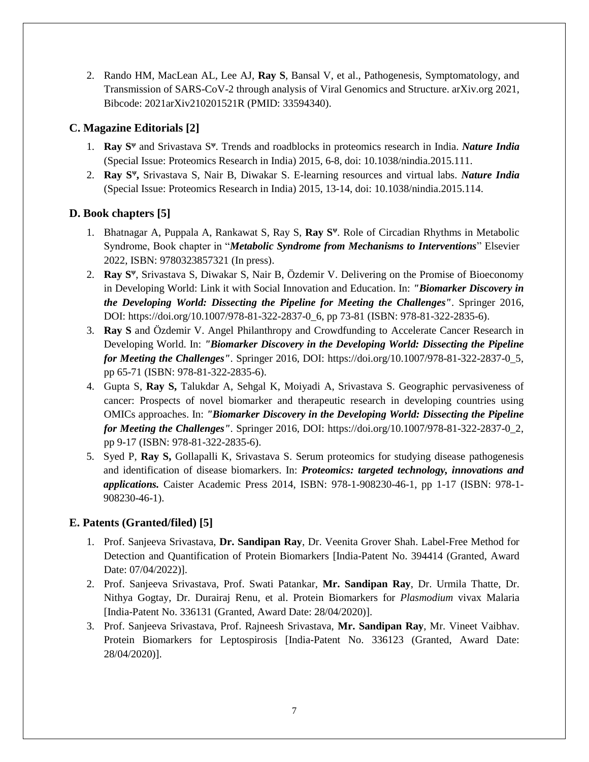2. Rando HM, MacLean AL, Lee AJ, **Ray S**, Bansal V, et al., Pathogenesis, Symptomatology, and Transmission of SARS-CoV-2 through analysis of Viral Genomics and Structure. arXiv.org 2021, Bibcode: 2021arXiv210201521R (PMID: 33594340).

# **C. Magazine Editorials [2]**

- 1. Ray S<sup>*w*</sup> and Srivastava S<sup>*w*</sup>. Trends and roadblocks in proteomics research in India. *Nature India* (Special Issue: Proteomics Research in India) 2015, 6-8, doi: 10.1038/nindia.2015.111.
- 2. **Ray S<sup>ψ</sup> ,** Srivastava S, Nair B, Diwakar S. E-learning resources and virtual labs. *Nature India* (Special Issue: Proteomics Research in India) 2015, 13-14, doi: 10.1038/nindia.2015.114.

### **D. Book chapters [5]**

- 1. Bhatnagar A, Puppala A, Rankawat S, Ray S, Ray S<sup> $\psi$ </sup>. Role of Circadian Rhythms in Metabolic Syndrome, Book chapter in "*Metabolic Syndrome from Mechanisms to Interventions*" Elsevier 2022, ISBN: 9780323857321 (In press).
- 2. **Ray S<sup>w</sup>**, Srivastava S, Diwakar S, Nair B, Özdemir V. Delivering on the Promise of Bioeconomy in Developing World: Link it with Social Innovation and Education. In: *"Biomarker Discovery in the Developing World: Dissecting the Pipeline for Meeting the Challenges"*. Springer 2016, DOI: https://doi.org/10.1007/978-81-322-2837-0\_6, pp 73-81 (ISBN: 978-81-322-2835-6).
- 3. **Ray S** and Özdemir V. Angel Philanthropy and Crowdfunding to Accelerate Cancer Research in Developing World. In: *"Biomarker Discovery in the Developing World: Dissecting the Pipeline for Meeting the Challenges"*. Springer 2016, DOI: https://doi.org/10.1007/978-81-322-2837-0\_5, pp 65-71 (ISBN: 978-81-322-2835-6).
- 4. Gupta S, **Ray S,** Talukdar A, Sehgal K, Moiyadi A, Srivastava S. Geographic pervasiveness of cancer: Prospects of novel biomarker and therapeutic research in developing countries using OMICs approaches. In: *"Biomarker Discovery in the Developing World: Dissecting the Pipeline for Meeting the Challenges"*. Springer 2016, DOI: https://doi.org/10.1007/978-81-322-2837-0\_2, pp 9-17 (ISBN: 978-81-322-2835-6).
- 5. Syed P, **Ray S,** Gollapalli K, Srivastava S. Serum proteomics for studying disease pathogenesis and identification of disease biomarkers. In: *Proteomics: targeted technology, innovations and applications.* Caister Academic Press 2014, ISBN: 978-1-908230-46-1, pp 1-17 (ISBN: 978-1- 908230-46-1).

# **E. Patents (Granted/filed) [5]**

- 1. Prof. Sanjeeva Srivastava, **Dr. Sandipan Ray**, Dr. Veenita Grover Shah. Label-Free Method for Detection and Quantification of Protein Biomarkers [India-Patent No. 394414 (Granted, Award Date: 07/04/2022)].
- 2. Prof. Sanjeeva Srivastava, Prof. Swati Patankar, **Mr. Sandipan Ray**, Dr. Urmila Thatte, Dr. Nithya Gogtay, Dr. Durairaj Renu, et al. Protein Biomarkers for *Plasmodium* vivax Malaria [India-Patent No. 336131 (Granted, Award Date: 28/04/2020)].
- 3. Prof. Sanjeeva Srivastava, Prof. Rajneesh Srivastava, **Mr. Sandipan Ray**, Mr. Vineet Vaibhav. Protein Biomarkers for Leptospirosis [India-Patent No. 336123 (Granted, Award Date: 28/04/2020)].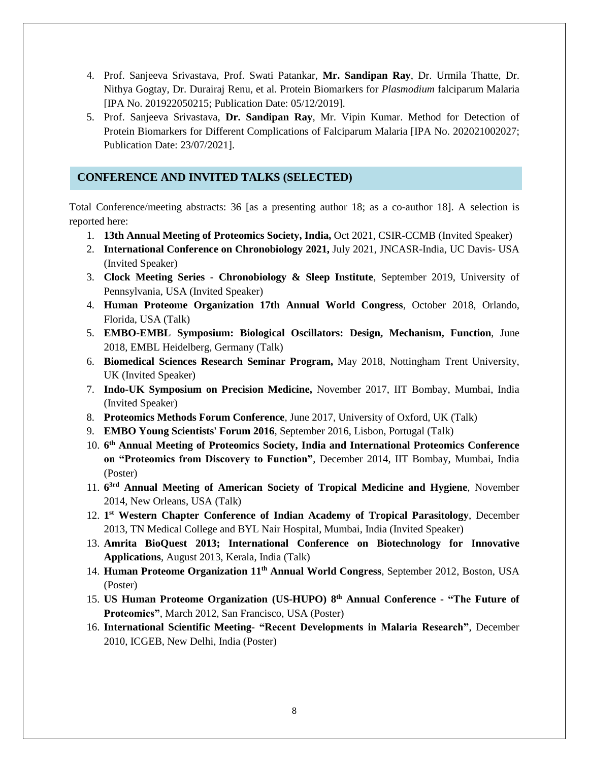- 4. Prof. Sanjeeva Srivastava, Prof. Swati Patankar, **Mr. Sandipan Ray**, Dr. Urmila Thatte, Dr. Nithya Gogtay, Dr. Durairaj Renu, et al. Protein Biomarkers for *Plasmodium* falciparum Malaria [IPA No. 201922050215; Publication Date: 05/12/2019].
- 5. Prof. Sanjeeva Srivastava, **Dr. Sandipan Ray**, Mr. Vipin Kumar. Method for Detection of Protein Biomarkers for Different Complications of Falciparum Malaria [IPA No. 202021002027; Publication Date: 23/07/2021].

## **CONFERENCE AND INVITED TALKS (SELECTED)**

Total Conference/meeting abstracts: 36 [as a presenting author 18; as a co-author 18]. A selection is reported here:

- 1. **13th Annual Meeting of Proteomics Society, India,** Oct 2021, CSIR-CCMB (Invited Speaker)
- 2. **International Conference on Chronobiology 2021,** July 2021, JNCASR-India, UC Davis- USA (Invited Speaker)
- 3. **Clock Meeting Series - Chronobiology & Sleep Institute**, September 2019, University of Pennsylvania, USA (Invited Speaker)
- 4. **Human Proteome Organization 17th Annual World Congress**, October 2018, Orlando, Florida, USA (Talk)
- 5. **EMBO-EMBL Symposium: Biological Oscillators: Design, Mechanism, Function**, June 2018, EMBL Heidelberg, Germany (Talk)
- 6. **Biomedical Sciences Research Seminar Program,** May 2018, Nottingham Trent University, UK (Invited Speaker)
- 7. **Indo-UK Symposium on Precision Medicine,** November 2017, IIT Bombay, Mumbai, India (Invited Speaker)
- 8. **Proteomics Methods Forum Conference**, June 2017, University of Oxford, UK (Talk)
- 9. **EMBO Young Scientists' Forum 2016**, September 2016, Lisbon, Portugal (Talk)
- 10. **6 th Annual Meeting of Proteomics Society, India and International Proteomics Conference on "Proteomics from Discovery to Function"**, December 2014, IIT Bombay, Mumbai, India (Poster)
- 11. **6 3rd Annual Meeting of American Society of Tropical Medicine and Hygiene**, November 2014, New Orleans, USA (Talk)
- 12. 1<sup>st</sup> Western Chapter Conference of Indian Academy of Tropical Parasitology, December 2013, TN Medical College and BYL Nair Hospital, Mumbai, India (Invited Speaker)
- 13. **Amrita BioQuest 2013; International Conference on Biotechnology for Innovative Applications**, August 2013, Kerala, India (Talk)
- 14. **Human Proteome Organization 11th Annual World Congress**, September 2012, Boston, USA (Poster)
- 15. **US Human Proteome Organization (US-HUPO) 8 th Annual Conference - "The Future of Proteomics"**, March 2012, San Francisco, USA (Poster)
- 16. **International Scientific Meeting- "Recent Developments in Malaria Research"**, December 2010, ICGEB, New Delhi, India (Poster)